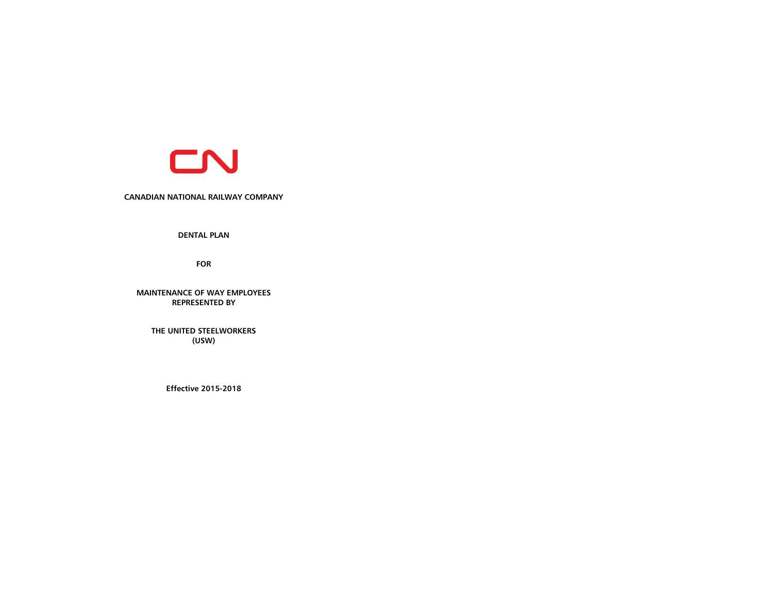

### **CANADIAN NATIONAL RAILWAY COMPANY**

**DENTAL PLAN** 

**FOR**

**MAINTENANCE OF WAY EMPLOYEES REPRESENTED BY**

**THE UNITED STEELWORKERS (USW)**

**Effective 2015-2018**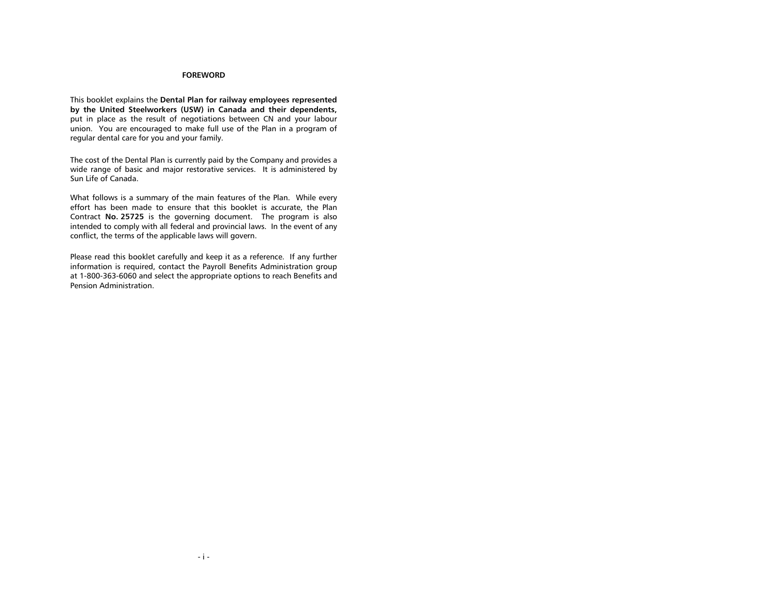### **FOREWORD**

This booklet explains the **Dental Plan for railway employees represented by the United Steelworkers (USW) in Canada and their dependents,** put in place as the result of negotiations between CN and your labour union. You are encouraged to make full use of the Plan in a program of regular dental care for you and your family.

The cost of the Dental Plan is currently paid by the Company and provides a wide range of basic and major restorative services. It is administered by Sun Life of Canada.

What follows is a summary of the main features of the Plan. While every effort has been made to ensure that this booklet is accurate, the Plan Contract **No. 25725** is the governing document. The program is also intended to comply with all federal and provincial laws. In the event of any conflict, the terms of the applicable laws will govern.

Please read this booklet carefully and keep it as a reference. If any further information is required, contact the Payroll Benefits Administration group at 1-800-363-6060 and select the appropriate options to reach Benefits and Pension Administration.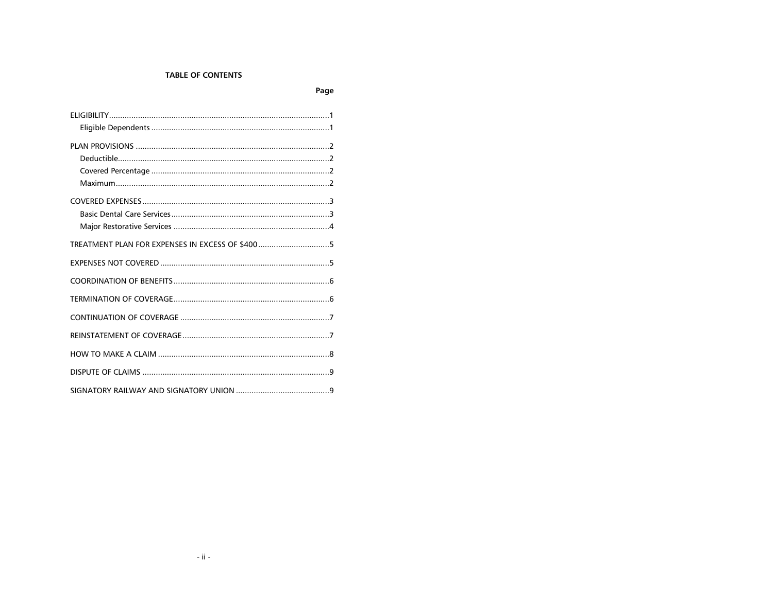# **TABLE OF CONTENTS**

Page

| TREATMENT PLAN FOR EXPENSES IN EXCESS OF \$4005 |  |
|-------------------------------------------------|--|
|                                                 |  |
|                                                 |  |
|                                                 |  |
|                                                 |  |
|                                                 |  |
|                                                 |  |
|                                                 |  |
|                                                 |  |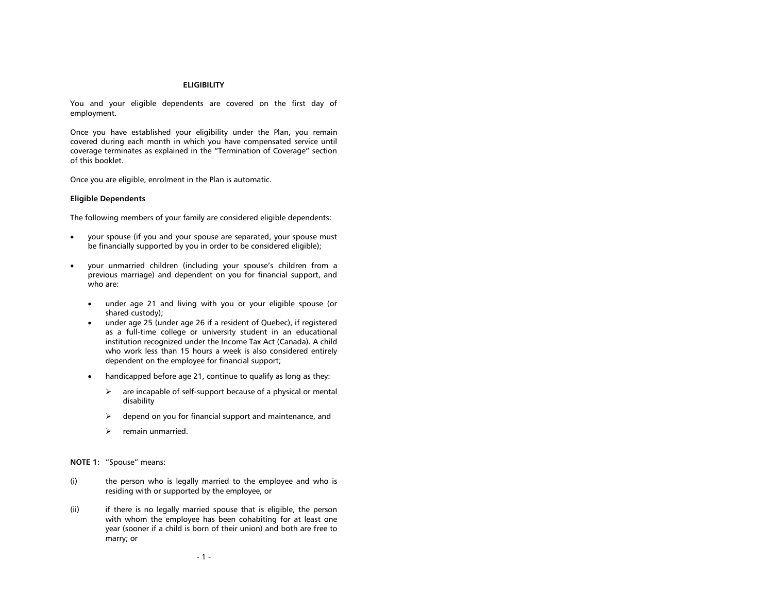### **ELIGIBILITY**

<span id="page-3-0"></span>You and your eligible dependents are covered on the first day of employment.

Once you have established your eligibility under the Plan, you remain covered during each month in which you have compensated service until coverage terminates as explained in the "Termination of Coverage" section of this booklet.

Once you are eligible, enrolment in the Plan is automatic.

#### <span id="page-3-1"></span>**Eligible Dependents**

The following members of your family are considered eligible dependents:

- your spouse (if you and your spouse are separated, your spouse must be financially supported by you in order to be considered eligible);
- your unmarried children (including your spouse's children from a previous marriage) and dependent on you for financial support, and who are:
	- under age 21 and living with you or your eligible spouse (or shared custody);
	- under age 25 (under age 26 if a resident of Quebec), if registered as a full-time college or university student in an educational institution recognized under the Income Tax Act (Canada). A child who work less than 15 hours a week is also considered entirely dependent on the employee for financial support;
	- handicapped before age 21, continue to qualify as long as they:
		- $\triangleright$  are incapable of self-support because of a physical or mental disability
		- $\triangleright$  depend on you for financial support and maintenance, and
		- $\triangleright$  remain unmarried.

**NOTE 1:** "Spouse" means:

- (i) the person who is legally married to the employee and who is residing with or supported by the employee, or
- (ii) if there is no legally married spouse that is eligible, the person with whom the employee has been cohabiting for at least one year (sooner if a child is born of their union) and both are free to marry; or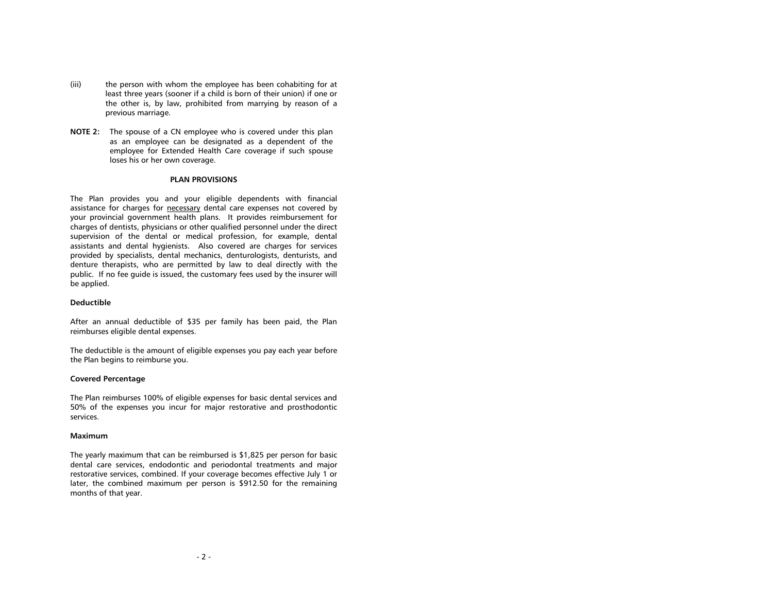- (iii) the person with whom the employee has been cohabiting for at least three years (sooner if a child is born of their union) if one or the other is, by law, prohibited from marrying by reason of a previous marriage.
- **NOTE 2:** The spouse of a CN employee who is covered under this plan as an employee can be designated as a dependent of the employee for Extended Health Care coverage if such spouse loses his or her own coverage.

#### **PLAN PROVISIONS**

<span id="page-4-0"></span>The Plan provides you and your eligible dependents with financial assistance for charges for necessary dental care expenses not covered by your provincial government health plans. It provides reimbursement for charges of dentists, physicians or other qualified personnel under the direct supervision of the dental or medical profession, for example, dental assistants and dental hygienists. Also covered are charges for services provided by specialists, dental mechanics, denturologists, denturists, and denture therapists, who are permitted by law to deal directly with the public. If no fee guide is issued, the customary fees used by the insurer will be applied.

#### <span id="page-4-1"></span>**Deductible**

After an annual deductible of \$35 per family has been paid, the Plan reimburses eligible dental expenses.

The deductible is the amount of eligible expenses you pay each year before the Plan begins to reimburse you.

#### <span id="page-4-2"></span>**Covered Percentage**

The Plan reimburses 100% of eligible expenses for basic dental services and 50% of the expenses you incur for major restorative and prosthodontic services.

#### <span id="page-4-3"></span>**Maximum**

The yearly maximum that can be reimbursed is \$1,825 per person for basic dental care services, endodontic and periodontal treatments and major restorative services, combined. If your coverage becomes effective July 1 or later, the combined maximum per person is \$912.50 for the remaining months of that year.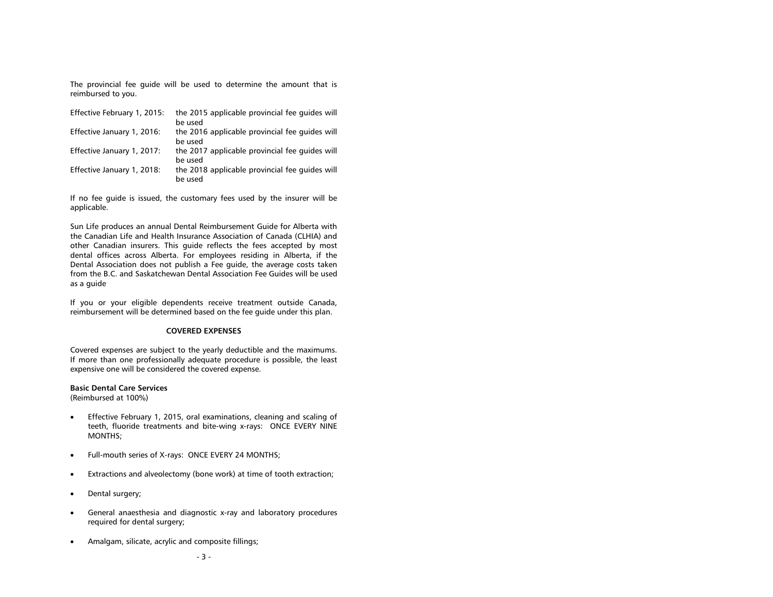The provincial fee guide will be used to determine the amount that is reimbursed to you.

| Effective February 1, 2015: | the 2015 applicable provincial fee quides will<br>be used |
|-----------------------------|-----------------------------------------------------------|
| Effective January 1, 2016:  | the 2016 applicable provincial fee quides will<br>be used |
| Effective January 1, 2017:  | the 2017 applicable provincial fee quides will<br>be used |
| Effective January 1, 2018:  | the 2018 applicable provincial fee quides will<br>be used |

If no fee guide is issued, the customary fees used by the insurer will be applicable.

Sun Life produces an annual Dental Reimbursement Guide for Alberta with the Canadian Life and Health Insurance Association of Canada (CLHIA) and other Canadian insurers. This guide reflects the fees accepted by most dental offices across Alberta. For employees residing in Alberta, if the Dental Association does not publish a Fee guide, the average costs taken from the B.C. and Saskatchewan Dental Association Fee Guides will be used as a guide

If you or your eligible dependents receive treatment outside Canada, reimbursement will be determined based on the fee guide under this plan.

### **COVERED EXPENSES**

<span id="page-5-0"></span>Covered expenses are subject to the yearly deductible and the maximums. If more than one professionally adequate procedure is possible, the least expensive one will be considered the covered expense.

#### <span id="page-5-1"></span>**Basic Dental Care Services**

(Reimbursed at 100%)

- Effective February 1, 2015, oral examinations, cleaning and scaling of teeth, fluoride treatments and bite-wing x-rays: ONCE EVERY NINE MONTHS;
- Full-mouth series of X-rays: ONCE EVERY 24 MONTHS;
- Extractions and alveolectomy (bone work) at time of tooth extraction;
- Dental surgery;
- General anaesthesia and diagnostic x-ray and laboratory procedures required for dental surgery;
- Amalgam, silicate, acrylic and composite fillings;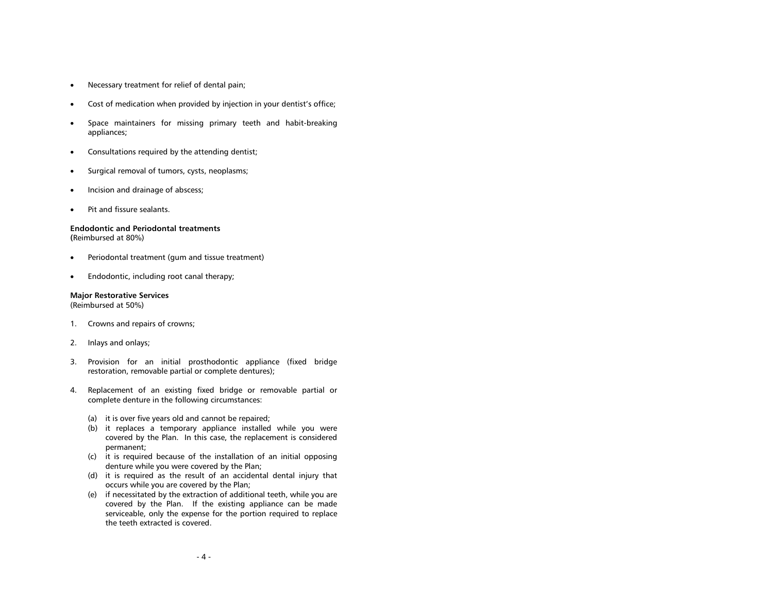- Necessary treatment for relief of dental pain;
- Cost of medication when provided by injection in your dentist's office;
- Space maintainers for missing primary teeth and habit-breaking appliances;
- Consultations required by the attending dentist;
- Surgical removal of tumors, cysts, neoplasms;
- Incision and drainage of abscess;
- Pit and fissure sealants.

## **Endodontic and Periodontal treatments**

**(**Reimbursed at 80%)

- Periodontal treatment (gum and tissue treatment)
- Endodontic, including root canal therapy;

### <span id="page-6-0"></span>**Major Restorative Services**

(Reimbursed at 50%)

- 1. Crowns and repairs of crowns;
- 2. Inlays and onlays;
- 3. Provision for an initial prosthodontic appliance (fixed bridge restoration, removable partial or complete dentures);
- 4. Replacement of an existing fixed bridge or removable partial or complete denture in the following circumstances:
	- (a) it is over five years old and cannot be repaired;
	- (b) it replaces a temporary appliance installed while you were covered by the Plan. In this case, the replacement is considered permanent;
	- (c) it is required because of the installation of an initial opposing denture while you were covered by the Plan;
	- (d) it is required as the result of an accidental dental injury that occurs while you are covered by the Plan;
	- (e) if necessitated by the extraction of additional teeth, while you are covered by the Plan. If the existing appliance can be made serviceable, only the expense for the portion required to replace the teeth extracted is covered.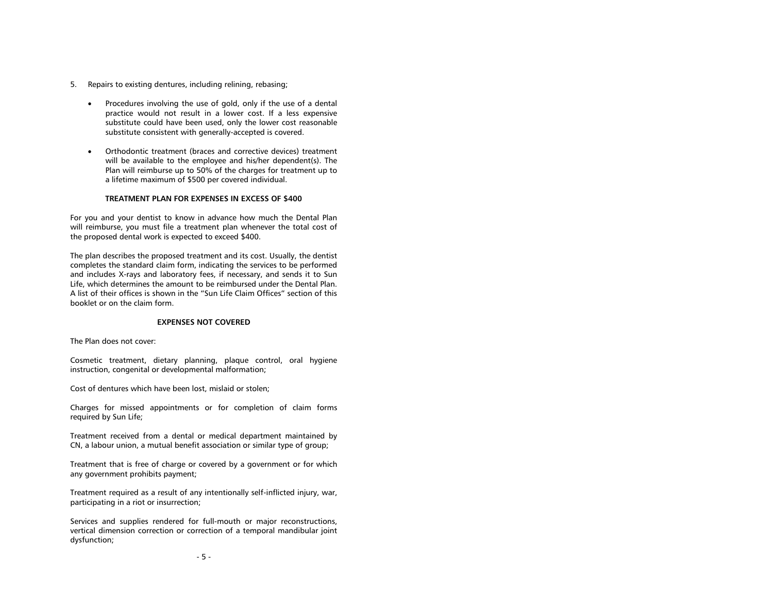- 5. Repairs to existing dentures, including relining, rebasing;
	- Procedures involving the use of gold, only if the use of a dental practice would not result in a lower cost. If a less expensive substitute could have been used, only the lower cost reasonable substitute consistent with generally-accepted is covered.
	- Orthodontic treatment (braces and corrective devices) treatment will be available to the employee and his/her dependent(s). The Plan will reimburse up to 50% of the charges for treatment up to a lifetime maximum of \$500 per covered individual.

#### **TREATMENT PLAN FOR EXPENSES IN EXCESS OF \$400**

<span id="page-7-0"></span>For you and your dentist to know in advance how much the Dental Plan will reimburse, you must file a treatment plan whenever the total cost of the proposed dental work is expected to exceed \$400.

The plan describes the proposed treatment and its cost. Usually, the dentist completes the standard claim form, indicating the services to be performed and includes X-rays and laboratory fees, if necessary, and sends it to Sun Life, which determines the amount to be reimbursed under the Dental Plan. A list of their offices is shown in the "Sun Life Claim Offices" section of this booklet or on the claim form.

#### **EXPENSES NOT COVERED**

<span id="page-7-1"></span>The Plan does not cover:

Cosmetic treatment, dietary planning, plaque control, oral hygiene instruction, congenital or developmental malformation;

Cost of dentures which have been lost, mislaid or stolen;

Charges for missed appointments or for completion of claim forms required by Sun Life;

Treatment received from a dental or medical department maintained by CN, a labour union, a mutual benefit association or similar type of group;

Treatment that is free of charge or covered by a government or for which any government prohibits payment;

Treatment required as a result of any intentionally self-inflicted injury, war, participating in a riot or insurrection;

Services and supplies rendered for full-mouth or major reconstructions, vertical dimension correction or correction of a temporal mandibular joint dysfunction;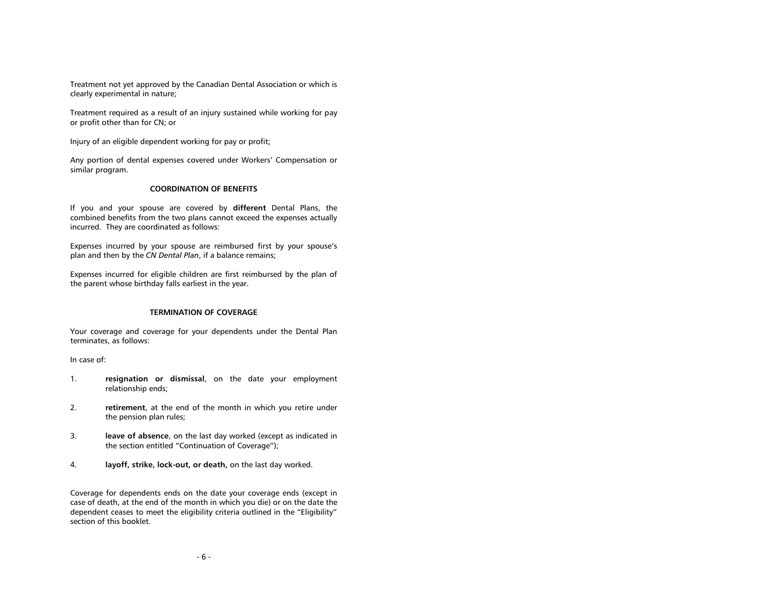Treatment not yet approved by the Canadian Dental Association or which is clearly experimental in nature;

Treatment required as a result of an injury sustained while working for pay or profit other than for CN; or

Injury of an eligible dependent working for pay or profit;

Any portion of dental expenses covered under Workers' Compensation or similar program.

### **COORDINATION OF BENEFITS**

<span id="page-8-0"></span>If you and your spouse are covered by **different** Dental Plans, the combined benefits from the two plans cannot exceed the expenses actually incurred. They are coordinated as follows:

Expenses incurred by your spouse are reimbursed first by your spouse's plan and then by the *CN Dental Plan*, if a balance remains;

Expenses incurred for eligible children are first reimbursed by the plan of the parent whose birthday falls earliest in the year.

#### **TERMINATION OF COVERAGE**

<span id="page-8-1"></span>Your coverage and coverage for your dependents under the Dental Plan terminates, as follows:

In case of:

- 1. **resignation or dismissal**, on the date your employment relationship ends;
- 2. **retirement**, at the end of the month in which you retire under the pension plan rules;
- 3. **leave of absence**, on the last day worked (except as indicated in the section entitled "Continuation of Coverage");
- 4. **layoff, strike, lock-out, or death,** on the last day worked.

Coverage for dependents ends on the date your coverage ends (except in case of death, at the end of the month in which you die) or on the date the dependent ceases to meet the eligibility criteria outlined in the "Eligibility" section of this booklet.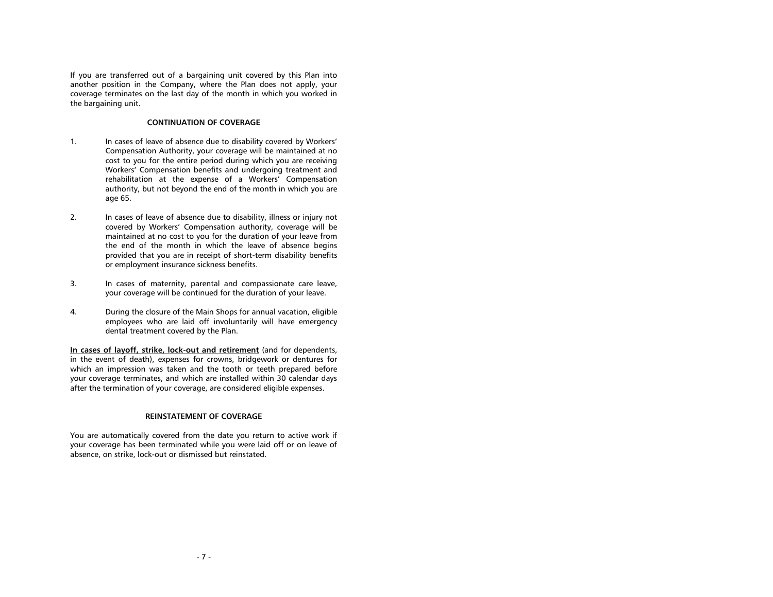If you are transferred out of a bargaining unit covered by this Plan into another position in the Company, where the Plan does not apply, your coverage terminates on the last day of the month in which you worked in the bargaining unit.

### **CONTINUATION OF COVERAGE**

- <span id="page-9-0"></span>1. In cases of leave of absence due to disability covered by Workers' Compensation Authority, your coverage will be maintained at no cost to you for the entire period during which you are receiving Workers' Compensation benefits and undergoing treatment and rehabilitation at the expense of a Workers' Compensation authority, but not beyond the end of the month in which you are age 65.
- 2. In cases of leave of absence due to disability, illness or injury not covered by Workers' Compensation authority, coverage will be maintained at no cost to you for the duration of your leave from the end of the month in which the leave of absence begins provided that you are in receipt of short-term disability benefits or employment insurance sickness benefits.
- 3. In cases of maternity, parental and compassionate care leave, your coverage will be continued for the duration of your leave.
- 4. During the closure of the Main Shops for annual vacation, eligible employees who are laid off involuntarily will have emergency dental treatment covered by the Plan.

**In cases of layoff, strike, lock-out and retirement** (and for dependents, in the event of death), expenses for crowns, bridgework or dentures for which an impression was taken and the tooth or teeth prepared before your coverage terminates, and which are installed within 30 calendar days after the termination of your coverage, are considered eligible expenses.

### **REINSTATEMENT OF COVERAGE**

<span id="page-9-2"></span><span id="page-9-1"></span>You are automatically covered from the date you return to active work if your coverage has been terminated while you were laid off or on leave of absence, on strike, lock-out or dismissed but reinstated.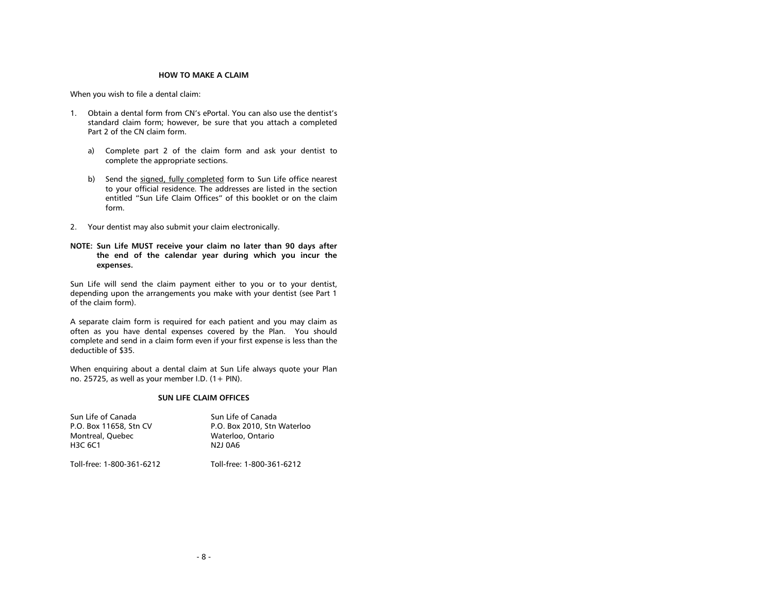#### **HOW TO MAKE A CLAIM**

When you wish to file a dental claim:

- 1. Obtain a dental form from CN's ePortal. You can also use the dentist's standard claim form; however, be sure that you attach a completed Part 2 of the CN claim form.
	- a) Complete part 2 of the claim form and ask your dentist to complete the appropriate sections.
	- b) Send the signed, fully completed form to Sun Life office nearest to your official residence. The addresses are listed in the section entitled "Sun Life Claim Offices" of this booklet or on the claim form.
- 2. Your dentist may also submit your claim electronically.
- **NOTE: Sun Life MUST receive your claim no later than 90 days after the end of the calendar year during which you incur the expenses.**

Sun Life will send the claim payment either to you or to your dentist, depending upon the arrangements you make with your dentist (see Part 1 of the claim form).

A separate claim form is required for each patient and you may claim as often as you have dental expenses covered by the Plan. You should complete and send in a claim form even if your first expense is less than the deductible of \$35.

When enquiring about a dental claim at Sun Life always quote your Plan no. 25725, as well as your member I.D.  $(1 + PIN)$ .

#### **SUN LIFE CLAIM OFFICES**

<span id="page-10-0"></span>

| Sun Life of Canada          | Sun Life of Canada                        |
|-----------------------------|-------------------------------------------|
| P.O. Box 11658, Stn CV      | P.O. Box 2010. Stn Waterloo               |
| Montreal, Ouebec<br>H3C 6C1 | Waterloo, Ontario<br>N <sub>2</sub> J 0A6 |
| Toll-free: 1-800-361-6212   | Toll-free: 1-800-361-6212                 |